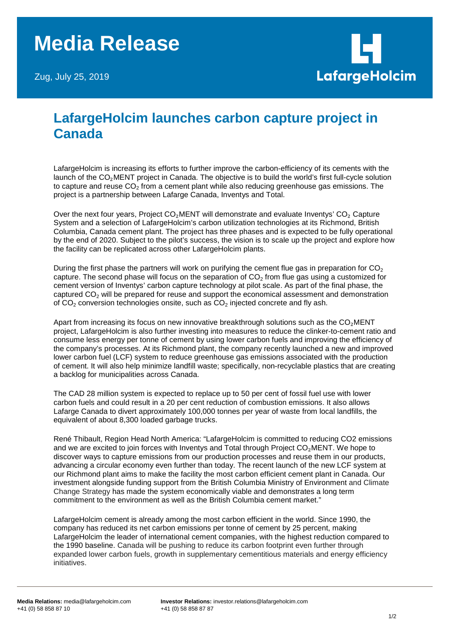# **Media Release**

Zug, July 25, 2019



## **LafargeHolcim launches carbon capture project in Canada**

LafargeHolcim is increasing its efforts to further improve the carbon-efficiency of its cements with the launch of the CO<sub>2</sub>MENT project in Canada. The objective is to build the world's first full-cycle solution to capture and reuse  $CO<sub>2</sub>$  from a cement plant while also reducing greenhouse gas emissions. The project is a partnership between Lafarge Canada, Inventys and Total.

Over the next four years, Project CO<sub>2</sub>MENT will demonstrate and evaluate Inventys' CO<sub>2</sub> Capture System and a selection of LafargeHolcim's carbon utilization technologies at its Richmond, British Columbia, Canada cement plant. The project has three phases and is expected to be fully operational by the end of 2020. Subject to the pilot's success, the vision is to scale up the project and explore how the facility can be replicated across other LafargeHolcim plants.

During the first phase the partners will work on purifying the cement flue gas in preparation for  $CO<sub>2</sub>$ capture. The second phase will focus on the separation of  $CO<sub>2</sub>$  from flue gas using a customized for cement version of Inventys' carbon capture technology at pilot scale. As part of the final phase, the captured CO<sub>2</sub> will be prepared for reuse and support the economical assessment and demonstration of  $CO<sub>2</sub>$  conversion technologies onsite, such as  $CO<sub>2</sub>$  injected concrete and fly ash.

Apart from increasing its focus on new innovative breakthrough solutions such as the CO<sub>2</sub>MENT project, LafargeHolcim is also further investing into measures to reduce the clinker-to-cement ratio and consume less energy per tonne of cement by using lower carbon fuels and improving the efficiency of the company's processes. At its Richmond plant, the company recently launched a new and improved lower carbon fuel (LCF) system to reduce greenhouse gas emissions associated with the production of cement. It will also help minimize landfill waste; specifically, non-recyclable plastics that are creating a backlog for municipalities across Canada.

The CAD 28 million system is expected to replace up to 50 per cent of fossil fuel use with lower carbon fuels and could result in a 20 per cent reduction of combustion emissions. It also allows Lafarge Canada to divert approximately 100,000 tonnes per year of waste from local landfills, the equivalent of about 8,300 loaded garbage trucks.

René Thibault, Region Head North America: "LafargeHolcim is committed to reducing CO2 emissions and we are excited to join forces with Inventys and Total through Project  $CO<sub>2</sub>MENT$ . We hope to discover ways to capture emissions from our production processes and reuse them in our products, advancing a circular economy even further than today. The recent launch of the new LCF system at our Richmond plant aims to make the facility the most carbon efficient cement plant in Canada. Our investment alongside funding support from the British Columbia Ministry of Environment and Climate Change Strategy has made the system economically viable and demonstrates a long term commitment to the environment as well as the British Columbia cement market."

LafargeHolcim cement is already among the most carbon efficient in the world. Since 1990, the company has reduced its net carbon emissions per tonne of cement by 25 percent, making LafargeHolcim the leader of international cement companies, with the highest reduction compared to the 1990 baseline. Canada will be pushing to reduce its carbon footprint even further through expanded lower carbon fuels, growth in supplementary cementitious materials and energy efficiency initiatives.